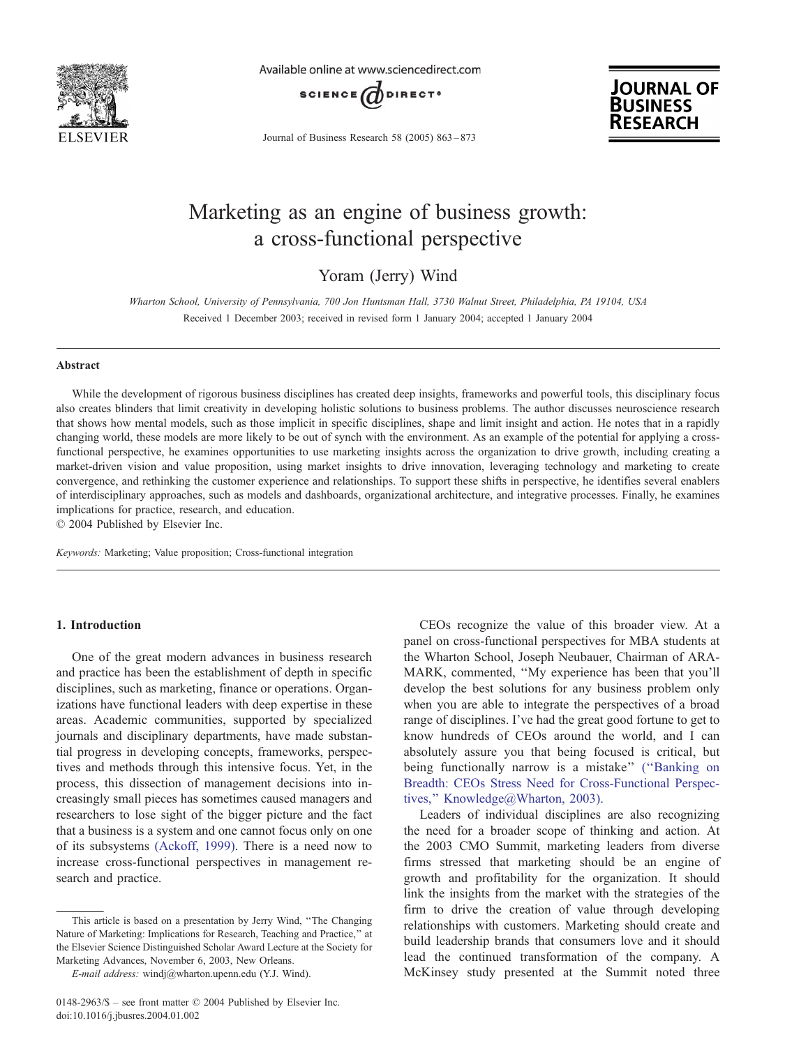

Available online at www.sciencedirect.com



Journal of Business Research 58 (2005) 863 – 873



# Marketing as an engine of business growth: a cross-functional perspective

Yoram (Jerry) Wind

Wharton School, University of Pennsylvania, 700 Jon Huntsman Hall, 3730 Walnut Street, Philadelphia, PA 19104, USA Received 1 December 2003; received in revised form 1 January 2004; accepted 1 January 2004

### Abstract

While the development of rigorous business disciplines has created deep insights, frameworks and powerful tools, this disciplinary focus also creates blinders that limit creativity in developing holistic solutions to business problems. The author discusses neuroscience research that shows how mental models, such as those implicit in specific disciplines, shape and limit insight and action. He notes that in a rapidly changing world, these models are more likely to be out of synch with the environment. As an example of the potential for applying a crossfunctional perspective, he examines opportunities to use marketing insights across the organization to drive growth, including creating a market-driven vision and value proposition, using market insights to drive innovation, leveraging technology and marketing to create convergence, and rethinking the customer experience and relationships. To support these shifts in perspective, he identifies several enablers of interdisciplinary approaches, such as models and dashboards, organizational architecture, and integrative processes. Finally, he examines implications for practice, research, and education.

 $© 2004$  Published by Elsevier Inc.

Keywords: Marketing; Value proposition; Cross-functional integration

# 1. Introduction

One of the great modern advances in business research and practice has been the establishment of depth in specific disciplines, such as marketing, finance or operations. Organizations have functional leaders with deep expertise in these areas. Academic communities, supported by specialized journals and disciplinary departments, have made substantial progress in developing concepts, frameworks, perspectives and methods through this intensive focus. Yet, in the process, this dissection of management decisions into increasingly small pieces has sometimes caused managers and researchers to lose sight of the bigger picture and the fact that a business is a system and one cannot focus only on one of its subsystems [\(Ackoff, 1999\).](#page-9-0) There is a need now to increase cross-functional perspectives in management research and practice.

This article is based on a presentation by Jerry Wind, ''The Changing Nature of Marketing: Implications for Research, Teaching and Practice,'' at the Elsevier Science Distinguished Scholar Award Lecture at the Society for Marketing Advances, November 6, 2003, New Orleans.

CEOs recognize the value of this broader view. At a panel on cross-functional perspectives for MBA students at the Wharton School, Joseph Neubauer, Chairman of ARA-MARK, commented, ''My experience has been that you'll develop the best solutions for any business problem only when you are able to integrate the perspectives of a broad range of disciplines. I've had the great good fortune to get to know hundreds of CEOs around the world, and I can absolutely assure you that being focused is critical, but being functionally narrow is a mistake'' [\(''Banking on](#page-9-0) Breadth: CEOs Stress Need for Cross-Functional Perspectives," Knowledge@Wharton, 2003).

Leaders of individual disciplines are also recognizing the need for a broader scope of thinking and action. At the 2003 CMO Summit, marketing leaders from diverse firms stressed that marketing should be an engine of growth and profitability for the organization. It should link the insights from the market with the strategies of the firm to drive the creation of value through developing relationships with customers. Marketing should create and build leadership brands that consumers love and it should lead the continued transformation of the company. A McKinsey study presented at the Summit noted three

E-mail address: windj@wharton.upenn.edu (Y.J. Wind).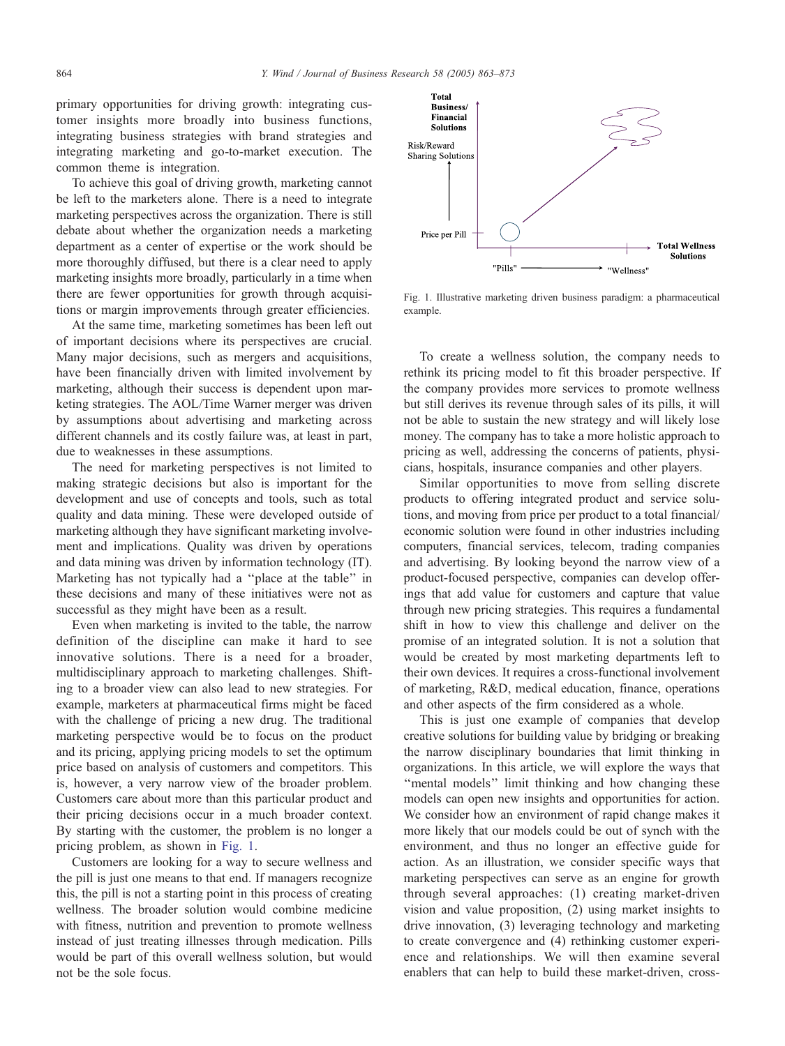primary opportunities for driving growth: integrating customer insights more broadly into business functions, integrating business strategies with brand strategies and integrating marketing and go-to-market execution. The common theme is integration.

To achieve this goal of driving growth, marketing cannot be left to the marketers alone. There is a need to integrate marketing perspectives across the organization. There is still debate about whether the organization needs a marketing department as a center of expertise or the work should be more thoroughly diffused, but there is a clear need to apply marketing insights more broadly, particularly in a time when there are fewer opportunities for growth through acquisitions or margin improvements through greater efficiencies.

At the same time, marketing sometimes has been left out of important decisions where its perspectives are crucial. Many major decisions, such as mergers and acquisitions, have been financially driven with limited involvement by marketing, although their success is dependent upon marketing strategies. The AOL/Time Warner merger was driven by assumptions about advertising and marketing across different channels and its costly failure was, at least in part, due to weaknesses in these assumptions.

The need for marketing perspectives is not limited to making strategic decisions but also is important for the development and use of concepts and tools, such as total quality and data mining. These were developed outside of marketing although they have significant marketing involvement and implications. Quality was driven by operations and data mining was driven by information technology (IT). Marketing has not typically had a ''place at the table'' in these decisions and many of these initiatives were not as successful as they might have been as a result.

Even when marketing is invited to the table, the narrow definition of the discipline can make it hard to see innovative solutions. There is a need for a broader, multidisciplinary approach to marketing challenges. Shifting to a broader view can also lead to new strategies. For example, marketers at pharmaceutical firms might be faced with the challenge of pricing a new drug. The traditional marketing perspective would be to focus on the product and its pricing, applying pricing models to set the optimum price based on analysis of customers and competitors. This is, however, a very narrow view of the broader problem. Customers care about more than this particular product and their pricing decisions occur in a much broader context. By starting with the customer, the problem is no longer a pricing problem, as shown in Fig. 1.

Customers are looking for a way to secure wellness and the pill is just one means to that end. If managers recognize this, the pill is not a starting point in this process of creating wellness. The broader solution would combine medicine with fitness, nutrition and prevention to promote wellness instead of just treating illnesses through medication. Pills would be part of this overall wellness solution, but would not be the sole focus.



Fig. 1. Illustrative marketing driven business paradigm: a pharmaceutical example.

To create a wellness solution, the company needs to rethink its pricing model to fit this broader perspective. If the company provides more services to promote wellness but still derives its revenue through sales of its pills, it will not be able to sustain the new strategy and will likely lose money. The company has to take a more holistic approach to pricing as well, addressing the concerns of patients, physicians, hospitals, insurance companies and other players.

Similar opportunities to move from selling discrete products to offering integrated product and service solutions, and moving from price per product to a total financial/ economic solution were found in other industries including computers, financial services, telecom, trading companies and advertising. By looking beyond the narrow view of a product-focused perspective, companies can develop offerings that add value for customers and capture that value through new pricing strategies. This requires a fundamental shift in how to view this challenge and deliver on the promise of an integrated solution. It is not a solution that would be created by most marketing departments left to their own devices. It requires a cross-functional involvement of marketing, R&D, medical education, finance, operations and other aspects of the firm considered as a whole.

This is just one example of companies that develop creative solutions for building value by bridging or breaking the narrow disciplinary boundaries that limit thinking in organizations. In this article, we will explore the ways that "mental models" limit thinking and how changing these models can open new insights and opportunities for action. We consider how an environment of rapid change makes it more likely that our models could be out of synch with the environment, and thus no longer an effective guide for action. As an illustration, we consider specific ways that marketing perspectives can serve as an engine for growth through several approaches: (1) creating market-driven vision and value proposition, (2) using market insights to drive innovation, (3) leveraging technology and marketing to create convergence and (4) rethinking customer experience and relationships. We will then examine several enablers that can help to build these market-driven, cross-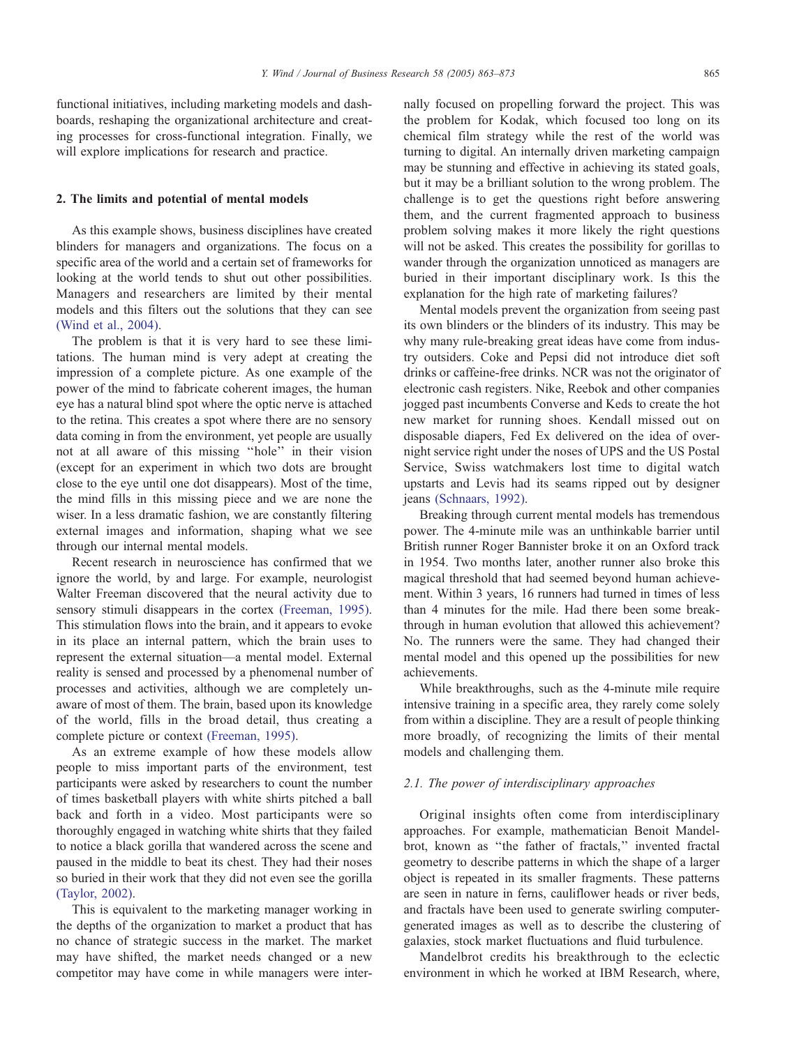functional initiatives, including marketing models and dashboards, reshaping the organizational architecture and creating processes for cross-functional integration. Finally, we will explore implications for research and practice.

## 2. The limits and potential of mental models

As this example shows, business disciplines have created blinders for managers and organizations. The focus on a specific area of the world and a certain set of frameworks for looking at the world tends to shut out other possibilities. Managers and researchers are limited by their mental models and this filters out the solutions that they can see [\(Wind et al., 2004\).](#page-10-0)

The problem is that it is very hard to see these limitations. The human mind is very adept at creating the impression of a complete picture. As one example of the power of the mind to fabricate coherent images, the human eye has a natural blind spot where the optic nerve is attached to the retina. This creates a spot where there are no sensory data coming in from the environment, yet people are usually not at all aware of this missing ''hole'' in their vision (except for an experiment in which two dots are brought close to the eye until one dot disappears). Most of the time, the mind fills in this missing piece and we are none the wiser. In a less dramatic fashion, we are constantly filtering external images and information, shaping what we see through our internal mental models.

Recent research in neuroscience has confirmed that we ignore the world, by and large. For example, neurologist Walter Freeman discovered that the neural activity due to sensory stimuli disappears in the cortex [\(Freeman, 1995\).](#page-9-0) This stimulation flows into the brain, and it appears to evoke in its place an internal pattern, which the brain uses to represent the external situation—a mental model. External reality is sensed and processed by a phenomenal number of processes and activities, although we are completely unaware of most of them. The brain, based upon its knowledge of the world, fills in the broad detail, thus creating a complete picture or context [\(Freeman, 1995\).](#page-9-0)

As an extreme example of how these models allow people to miss important parts of the environment, test participants were asked by researchers to count the number of times basketball players with white shirts pitched a ball back and forth in a video. Most participants were so thoroughly engaged in watching white shirts that they failed to notice a black gorilla that wandered across the scene and paused in the middle to beat its chest. They had their noses so buried in their work that they did not even see the gorilla [\(Taylor, 2002\)](#page-10-0).

This is equivalent to the marketing manager working in the depths of the organization to market a product that has no chance of strategic success in the market. The market may have shifted, the market needs changed or a new competitor may have come in while managers were internally focused on propelling forward the project. This was the problem for Kodak, which focused too long on its chemical film strategy while the rest of the world was turning to digital. An internally driven marketing campaign may be stunning and effective in achieving its stated goals, but it may be a brilliant solution to the wrong problem. The challenge is to get the questions right before answering them, and the current fragmented approach to business problem solving makes it more likely the right questions will not be asked. This creates the possibility for gorillas to wander through the organization unnoticed as managers are buried in their important disciplinary work. Is this the explanation for the high rate of marketing failures?

Mental models prevent the organization from seeing past its own blinders or the blinders of its industry. This may be why many rule-breaking great ideas have come from industry outsiders. Coke and Pepsi did not introduce diet soft drinks or caffeine-free drinks. NCR was not the originator of electronic cash registers. Nike, Reebok and other companies jogged past incumbents Converse and Keds to create the hot new market for running shoes. Kendall missed out on disposable diapers, Fed Ex delivered on the idea of overnight service right under the noses of UPS and the US Postal Service, Swiss watchmakers lost time to digital watch upstarts and Levis had its seams ripped out by designer jeans [\(Schnaars, 1992\).](#page-10-0)

Breaking through current mental models has tremendous power. The 4-minute mile was an unthinkable barrier until British runner Roger Bannister broke it on an Oxford track in 1954. Two months later, another runner also broke this magical threshold that had seemed beyond human achievement. Within 3 years, 16 runners had turned in times of less than 4 minutes for the mile. Had there been some breakthrough in human evolution that allowed this achievement? No. The runners were the same. They had changed their mental model and this opened up the possibilities for new achievements.

While breakthroughs, such as the 4-minute mile require intensive training in a specific area, they rarely come solely from within a discipline. They are a result of people thinking more broadly, of recognizing the limits of their mental models and challenging them.

## 2.1. The power of interdisciplinary approaches

Original insights often come from interdisciplinary approaches. For example, mathematician Benoit Mandelbrot, known as ''the father of fractals,'' invented fractal geometry to describe patterns in which the shape of a larger object is repeated in its smaller fragments. These patterns are seen in nature in ferns, cauliflower heads or river beds, and fractals have been used to generate swirling computergenerated images as well as to describe the clustering of galaxies, stock market fluctuations and fluid turbulence.

Mandelbrot credits his breakthrough to the eclectic environment in which he worked at IBM Research, where,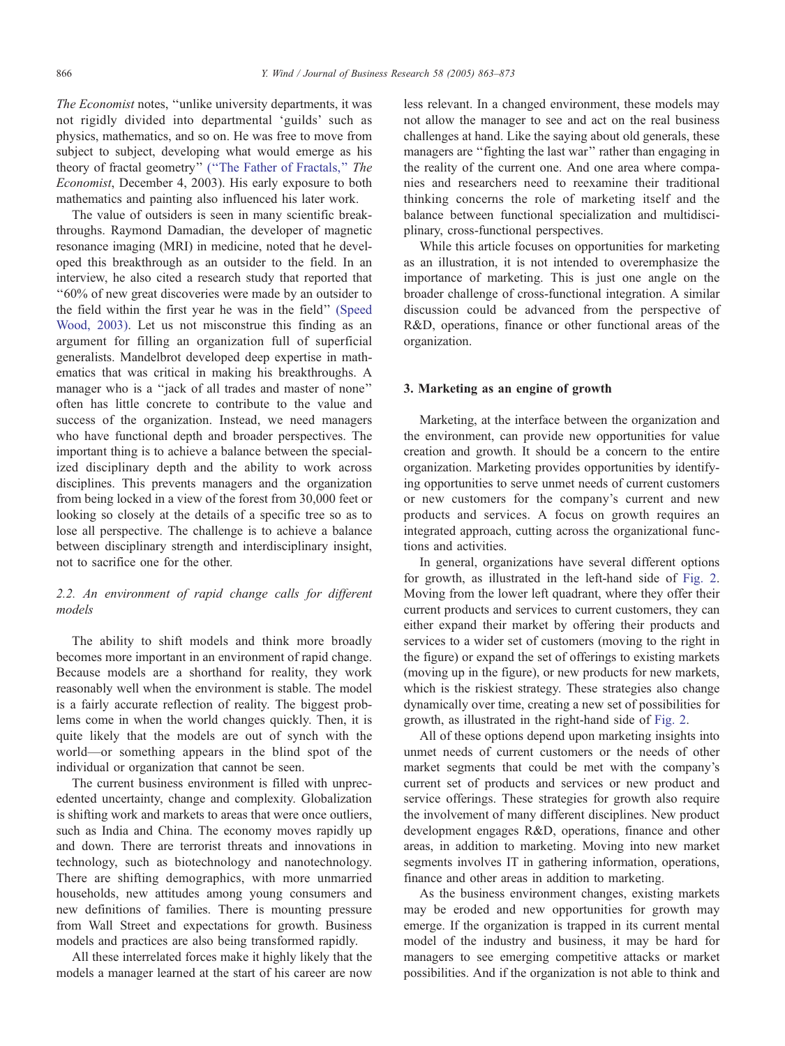The Economist notes, ''unlike university departments, it was not rigidly divided into departmental 'guilds' such as physics, mathematics, and so on. He was free to move from subject to subject, developing what would emerge as his theory of fractal geometry'' [\(''The Father of Fractals,''](#page-10-0) The Economist, December 4, 2003). His early exposure to both mathematics and painting also influenced his later work.

The value of outsiders is seen in many scientific breakthroughs. Raymond Damadian, the developer of magnetic resonance imaging (MRI) in medicine, noted that he developed this breakthrough as an outsider to the field. In an interview, he also cited a research study that reported that ''60% of new great discoveries were made by an outsider to the field within the first year he was in the field'' [\(Speed](#page-10-0) Wood, 2003). Let us not misconstrue this finding as an argument for filling an organization full of superficial generalists. Mandelbrot developed deep expertise in mathematics that was critical in making his breakthroughs. A manager who is a "jack of all trades and master of none" often has little concrete to contribute to the value and success of the organization. Instead, we need managers who have functional depth and broader perspectives. The important thing is to achieve a balance between the specialized disciplinary depth and the ability to work across disciplines. This prevents managers and the organization from being locked in a view of the forest from 30,000 feet or looking so closely at the details of a specific tree so as to lose all perspective. The challenge is to achieve a balance between disciplinary strength and interdisciplinary insight, not to sacrifice one for the other.

# 2.2. An environment of rapid change calls for different models

The ability to shift models and think more broadly becomes more important in an environment of rapid change. Because models are a shorthand for reality, they work reasonably well when the environment is stable. The model is a fairly accurate reflection of reality. The biggest problems come in when the world changes quickly. Then, it is quite likely that the models are out of synch with the world—or something appears in the blind spot of the individual or organization that cannot be seen.

The current business environment is filled with unprecedented uncertainty, change and complexity. Globalization is shifting work and markets to areas that were once outliers, such as India and China. The economy moves rapidly up and down. There are terrorist threats and innovations in technology, such as biotechnology and nanotechnology. There are shifting demographics, with more unmarried households, new attitudes among young consumers and new definitions of families. There is mounting pressure from Wall Street and expectations for growth. Business models and practices are also being transformed rapidly.

All these interrelated forces make it highly likely that the models a manager learned at the start of his career are now less relevant. In a changed environment, these models may not allow the manager to see and act on the real business challenges at hand. Like the saying about old generals, these managers are ''fighting the last war'' rather than engaging in the reality of the current one. And one area where companies and researchers need to reexamine their traditional thinking concerns the role of marketing itself and the balance between functional specialization and multidisciplinary, cross-functional perspectives.

While this article focuses on opportunities for marketing as an illustration, it is not intended to overemphasize the importance of marketing. This is just one angle on the broader challenge of cross-functional integration. A similar discussion could be advanced from the perspective of R&D, operations, finance or other functional areas of the organization.

## 3. Marketing as an engine of growth

Marketing, at the interface between the organization and the environment, can provide new opportunities for value creation and growth. It should be a concern to the entire organization. Marketing provides opportunities by identifying opportunities to serve unmet needs of current customers or new customers for the company's current and new products and services. A focus on growth requires an integrated approach, cutting across the organizational functions and activities.

In general, organizations have several different options for growth, as illustrated in the left-hand side of [Fig. 2.](#page-4-0) Moving from the lower left quadrant, where they offer their current products and services to current customers, they can either expand their market by offering their products and services to a wider set of customers (moving to the right in the figure) or expand the set of offerings to existing markets (moving up in the figure), or new products for new markets, which is the riskiest strategy. These strategies also change dynamically over time, creating a new set of possibilities for growth, as illustrated in the right-hand side of [Fig. 2.](#page-4-0)

All of these options depend upon marketing insights into unmet needs of current customers or the needs of other market segments that could be met with the company's current set of products and services or new product and service offerings. These strategies for growth also require the involvement of many different disciplines. New product development engages R&D, operations, finance and other areas, in addition to marketing. Moving into new market segments involves IT in gathering information, operations, finance and other areas in addition to marketing.

As the business environment changes, existing markets may be eroded and new opportunities for growth may emerge. If the organization is trapped in its current mental model of the industry and business, it may be hard for managers to see emerging competitive attacks or market possibilities. And if the organization is not able to think and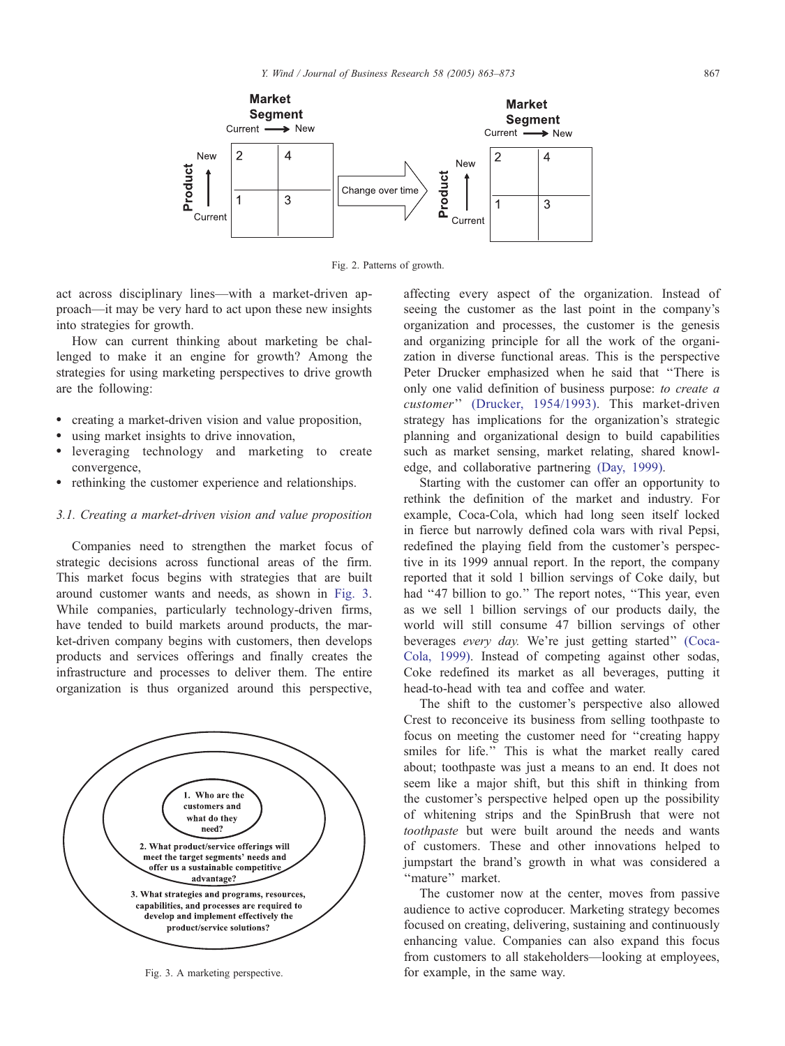<span id="page-4-0"></span>

Fig. 2. Patterns of growth.

act across disciplinary lines—with a market-driven approach—it may be very hard to act upon these new insights into strategies for growth.

How can current thinking about marketing be challenged to make it an engine for growth? Among the strategies for using marketing perspectives to drive growth are the following:

- creating a market-driven vision and value proposition,
- using market insights to drive innovation,
- leveraging technology and marketing to create convergence,
- rethinking the customer experience and relationships.

# 3.1. Creating a market-driven vision and value proposition

Companies need to strengthen the market focus of strategic decisions across functional areas of the firm. This market focus begins with strategies that are built around customer wants and needs, as shown in Fig. 3. While companies, particularly technology-driven firms, have tended to build markets around products, the market-driven company begins with customers, then develops products and services offerings and finally creates the infrastructure and processes to deliver them. The entire organization is thus organized around this perspective,



affecting every aspect of the organization. Instead of seeing the customer as the last point in the company's organization and processes, the customer is the genesis and organizing principle for all the work of the organization in diverse functional areas. This is the perspective Peter Drucker emphasized when he said that ''There is only one valid definition of business purpose: to create a customer'' [\(Drucker, 1954/1993\).](#page-9-0) This market-driven strategy has implications for the organization's strategic planning and organizational design to build capabilities such as market sensing, market relating, shared knowledge, and collaborative partnering [\(Day, 1999\).](#page-9-0)

Starting with the customer can offer an opportunity to rethink the definition of the market and industry. For example, Coca-Cola, which had long seen itself locked in fierce but narrowly defined cola wars with rival Pepsi, redefined the playing field from the customer's perspective in its 1999 annual report. In the report, the company reported that it sold 1 billion servings of Coke daily, but had "47 billion to go." The report notes, "This year, even as we sell 1 billion servings of our products daily, the world will still consume 47 billion servings of other beverages every day. We're just getting started" [\(Coca-](#page-9-0)Cola, 1999). Instead of competing against other sodas, Coke redefined its market as all beverages, putting it head-to-head with tea and coffee and water.

The shift to the customer's perspective also allowed Crest to reconceive its business from selling toothpaste to focus on meeting the customer need for ''creating happy smiles for life.'' This is what the market really cared about; toothpaste was just a means to an end. It does not seem like a major shift, but this shift in thinking from the customer's perspective helped open up the possibility of whitening strips and the SpinBrush that were not toothpaste but were built around the needs and wants of customers. These and other innovations helped to jumpstart the brand's growth in what was considered a "mature" market.

The customer now at the center, moves from passive audience to active coproducer. Marketing strategy becomes focused on creating, delivering, sustaining and continuously enhancing value. Companies can also expand this focus from customers to all stakeholders—looking at employees, Fig. 3. A marketing perspective. for example, in the same way.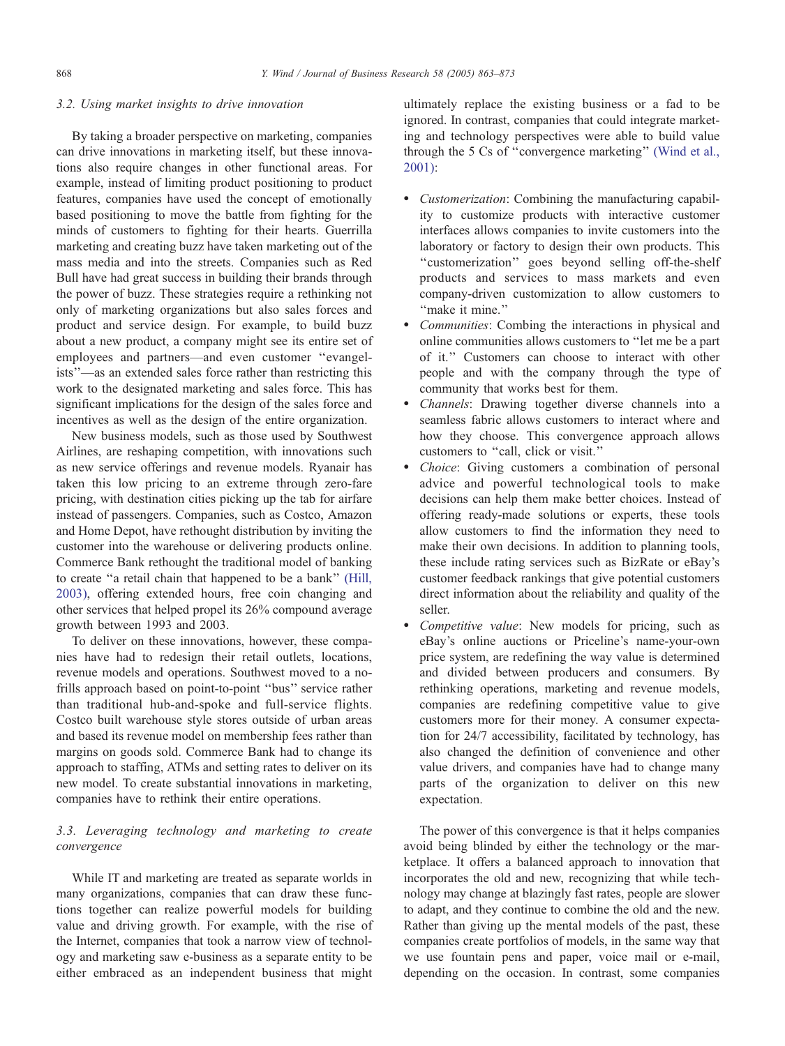## 3.2. Using market insights to drive innovation

By taking a broader perspective on marketing, companies can drive innovations in marketing itself, but these innovations also require changes in other functional areas. For example, instead of limiting product positioning to product features, companies have used the concept of emotionally based positioning to move the battle from fighting for the minds of customers to fighting for their hearts. Guerrilla marketing and creating buzz have taken marketing out of the mass media and into the streets. Companies such as Red Bull have had great success in building their brands through the power of buzz. These strategies require a rethinking not only of marketing organizations but also sales forces and product and service design. For example, to build buzz about a new product, a company might see its entire set of employees and partners—and even customer ''evangelists''—as an extended sales force rather than restricting this work to the designated marketing and sales force. This has significant implications for the design of the sales force and incentives as well as the design of the entire organization.

New business models, such as those used by Southwest Airlines, are reshaping competition, with innovations such as new service offerings and revenue models. Ryanair has taken this low pricing to an extreme through zero-fare pricing, with destination cities picking up the tab for airfare instead of passengers. Companies, such as Costco, Amazon and Home Depot, have rethought distribution by inviting the customer into the warehouse or delivering products online. Commerce Bank rethought the traditional model of banking to create ''a retail chain that happened to be a bank'' [\(Hill,](#page-9-0) 2003), offering extended hours, free coin changing and other services that helped propel its 26% compound average growth between 1993 and 2003.

To deliver on these innovations, however, these companies have had to redesign their retail outlets, locations, revenue models and operations. Southwest moved to a nofrills approach based on point-to-point ''bus'' service rather than traditional hub-and-spoke and full-service flights. Costco built warehouse style stores outside of urban areas and based its revenue model on membership fees rather than margins on goods sold. Commerce Bank had to change its approach to staffing, ATMs and setting rates to deliver on its new model. To create substantial innovations in marketing, companies have to rethink their entire operations.

# 3.3. Leveraging technology and marketing to create convergence

While IT and marketing are treated as separate worlds in many organizations, companies that can draw these functions together can realize powerful models for building value and driving growth. For example, with the rise of the Internet, companies that took a narrow view of technology and marketing saw e-business as a separate entity to be either embraced as an independent business that might ultimately replace the existing business or a fad to be ignored. In contrast, companies that could integrate marketing and technology perspectives were able to build value through the 5 Cs of ''convergence marketing'' [\(Wind et al.,](#page-10-0) 2001):

- *Customerization*: Combining the manufacturing capability to customize products with interactive customer interfaces allows companies to invite customers into the laboratory or factory to design their own products. This ''customerization'' goes beyond selling off-the-shelf products and services to mass markets and even company-driven customization to allow customers to ''make it mine.''
- *Communities:* Combing the interactions in physical and online communities allows customers to ''let me be a part of it.'' Customers can choose to interact with other people and with the company through the type of community that works best for them.
- *Channels*: Drawing together diverse channels into a seamless fabric allows customers to interact where and how they choose. This convergence approach allows customers to ''call, click or visit.''
- Choice: Giving customers a combination of personal advice and powerful technological tools to make decisions can help them make better choices. Instead of offering ready-made solutions or experts, these tools allow customers to find the information they need to make their own decisions. In addition to planning tools, these include rating services such as BizRate or eBay's customer feedback rankings that give potential customers direct information about the reliability and quality of the seller.
- Competitive value: New models for pricing, such as eBay's online auctions or Priceline's name-your-own price system, are redefining the way value is determined and divided between producers and consumers. By rethinking operations, marketing and revenue models, companies are redefining competitive value to give customers more for their money. A consumer expectation for 24/7 accessibility, facilitated by technology, has also changed the definition of convenience and other value drivers, and companies have had to change many parts of the organization to deliver on this new expectation.

The power of this convergence is that it helps companies avoid being blinded by either the technology or the marketplace. It offers a balanced approach to innovation that incorporates the old and new, recognizing that while technology may change at blazingly fast rates, people are slower to adapt, and they continue to combine the old and the new. Rather than giving up the mental models of the past, these companies create portfolios of models, in the same way that we use fountain pens and paper, voice mail or e-mail, depending on the occasion. In contrast, some companies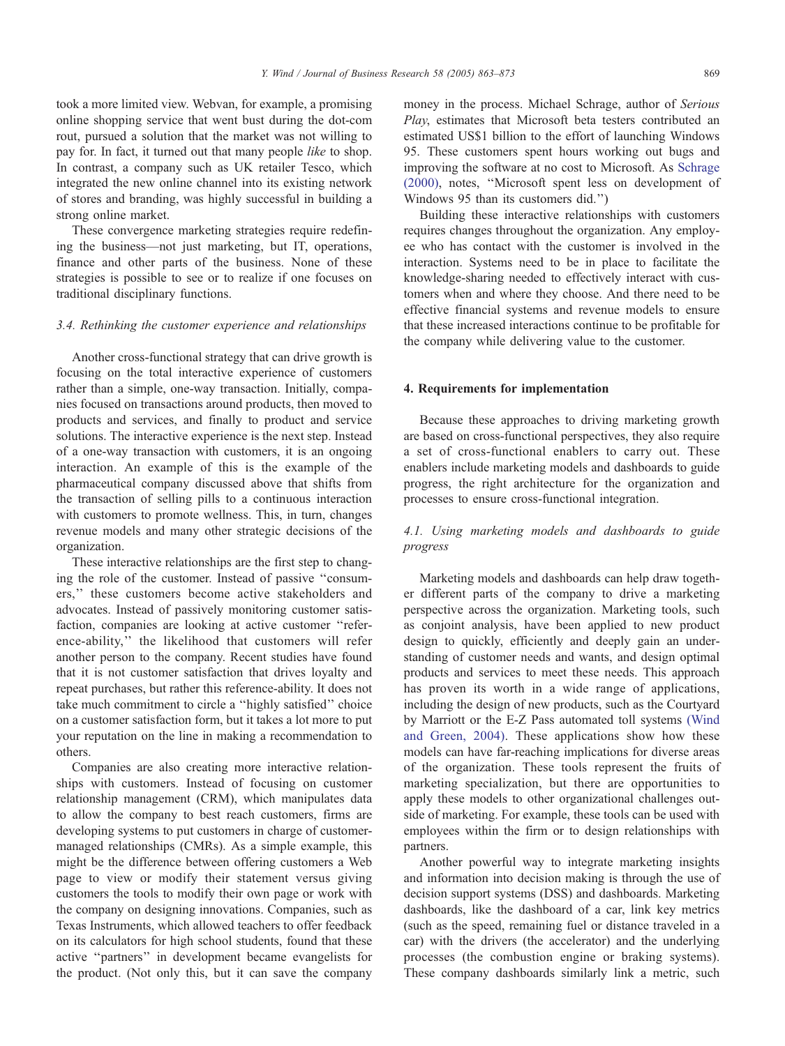took a more limited view. Webvan, for example, a promising online shopping service that went bust during the dot-com rout, pursued a solution that the market was not willing to pay for. In fact, it turned out that many people like to shop. In contrast, a company such as UK retailer Tesco, which integrated the new online channel into its existing network of stores and branding, was highly successful in building a strong online market.

These convergence marketing strategies require redefining the business—not just marketing, but IT, operations, finance and other parts of the business. None of these strategies is possible to see or to realize if one focuses on traditional disciplinary functions.

# 3.4. Rethinking the customer experience and relationships

Another cross-functional strategy that can drive growth is focusing on the total interactive experience of customers rather than a simple, one-way transaction. Initially, companies focused on transactions around products, then moved to products and services, and finally to product and service solutions. The interactive experience is the next step. Instead of a one-way transaction with customers, it is an ongoing interaction. An example of this is the example of the pharmaceutical company discussed above that shifts from the transaction of selling pills to a continuous interaction with customers to promote wellness. This, in turn, changes revenue models and many other strategic decisions of the organization.

These interactive relationships are the first step to changing the role of the customer. Instead of passive ''consumers,'' these customers become active stakeholders and advocates. Instead of passively monitoring customer satisfaction, companies are looking at active customer ''reference-ability,'' the likelihood that customers will refer another person to the company. Recent studies have found that it is not customer satisfaction that drives loyalty and repeat purchases, but rather this reference-ability. It does not take much commitment to circle a ''highly satisfied'' choice on a customer satisfaction form, but it takes a lot more to put your reputation on the line in making a recommendation to others.

Companies are also creating more interactive relationships with customers. Instead of focusing on customer relationship management (CRM), which manipulates data to allow the company to best reach customers, firms are developing systems to put customers in charge of customermanaged relationships (CMRs). As a simple example, this might be the difference between offering customers a Web page to view or modify their statement versus giving customers the tools to modify their own page or work with the company on designing innovations. Companies, such as Texas Instruments, which allowed teachers to offer feedback on its calculators for high school students, found that these active ''partners'' in development became evangelists for the product. (Not only this, but it can save the company

money in the process. Michael Schrage, author of Serious Play, estimates that Microsoft beta testers contributed an estimated US\$1 billion to the effort of launching Windows 95. These customers spent hours working out bugs and improving the software at no cost to Microsoft. As [Schrage](#page-10-0) (2000), notes, ''Microsoft spent less on development of Windows 95 than its customers did.'')

Building these interactive relationships with customers requires changes throughout the organization. Any employee who has contact with the customer is involved in the interaction. Systems need to be in place to facilitate the knowledge-sharing needed to effectively interact with customers when and where they choose. And there need to be effective financial systems and revenue models to ensure that these increased interactions continue to be profitable for the company while delivering value to the customer.

### 4. Requirements for implementation

Because these approaches to driving marketing growth are based on cross-functional perspectives, they also require a set of cross-functional enablers to carry out. These enablers include marketing models and dashboards to guide progress, the right architecture for the organization and processes to ensure cross-functional integration.

# 4.1. Using marketing models and dashboards to guide progress

Marketing models and dashboards can help draw together different parts of the company to drive a marketing perspective across the organization. Marketing tools, such as conjoint analysis, have been applied to new product design to quickly, efficiently and deeply gain an understanding of customer needs and wants, and design optimal products and services to meet these needs. This approach has proven its worth in a wide range of applications, including the design of new products, such as the Courtyard by Marriott or the E-Z Pass automated toll systems [\(Wind](#page-10-0) and Green, 2004). These applications show how these models can have far-reaching implications for diverse areas of the organization. These tools represent the fruits of marketing specialization, but there are opportunities to apply these models to other organizational challenges outside of marketing. For example, these tools can be used with employees within the firm or to design relationships with partners.

Another powerful way to integrate marketing insights and information into decision making is through the use of decision support systems (DSS) and dashboards. Marketing dashboards, like the dashboard of a car, link key metrics (such as the speed, remaining fuel or distance traveled in a car) with the drivers (the accelerator) and the underlying processes (the combustion engine or braking systems). These company dashboards similarly link a metric, such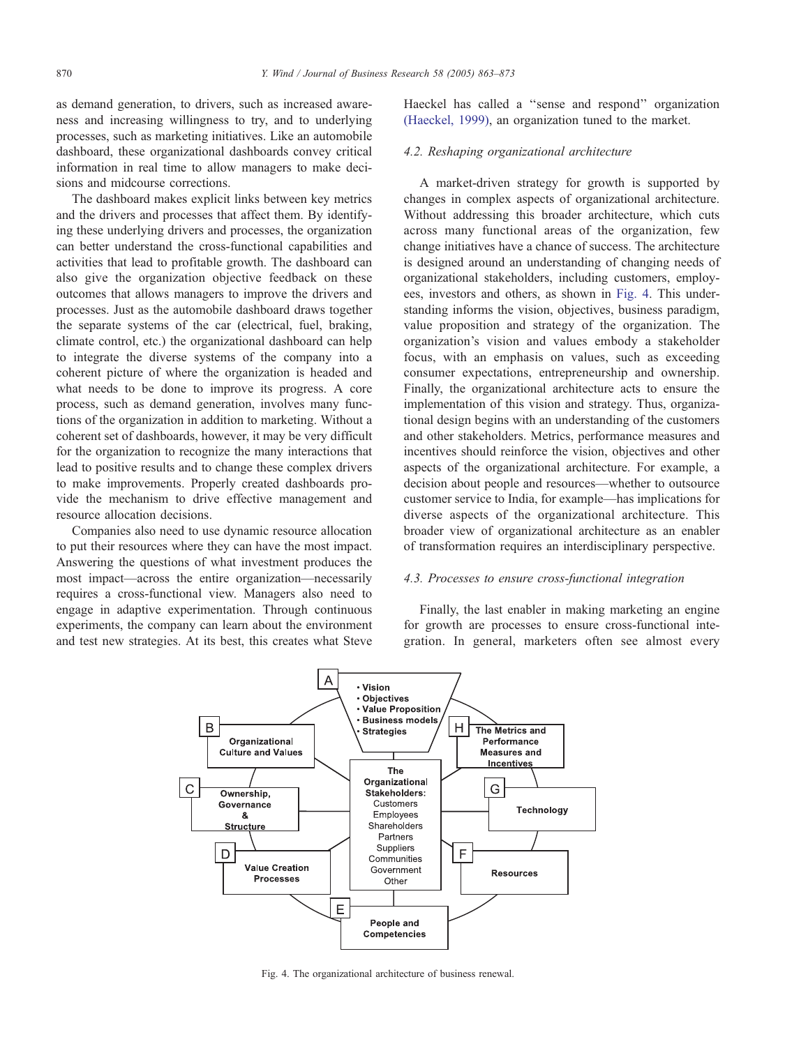as demand generation, to drivers, such as increased awareness and increasing willingness to try, and to underlying processes, such as marketing initiatives. Like an automobile dashboard, these organizational dashboards convey critical information in real time to allow managers to make decisions and midcourse corrections.

The dashboard makes explicit links between key metrics and the drivers and processes that affect them. By identifying these underlying drivers and processes, the organization can better understand the cross-functional capabilities and activities that lead to profitable growth. The dashboard can also give the organization objective feedback on these outcomes that allows managers to improve the drivers and processes. Just as the automobile dashboard draws together the separate systems of the car (electrical, fuel, braking, climate control, etc.) the organizational dashboard can help to integrate the diverse systems of the company into a coherent picture of where the organization is headed and what needs to be done to improve its progress. A core process, such as demand generation, involves many functions of the organization in addition to marketing. Without a coherent set of dashboards, however, it may be very difficult for the organization to recognize the many interactions that lead to positive results and to change these complex drivers to make improvements. Properly created dashboards provide the mechanism to drive effective management and resource allocation decisions.

Companies also need to use dynamic resource allocation to put their resources where they can have the most impact. Answering the questions of what investment produces the most impact—across the entire organization—necessarily requires a cross-functional view. Managers also need to engage in adaptive experimentation. Through continuous experiments, the company can learn about the environment and test new strategies. At its best, this creates what Steve

Haeckel has called a ''sense and respond'' organization [\(Haeckel, 1999\),](#page-9-0) an organization tuned to the market.

## 4.2. Reshaping organizational architecture

A market-driven strategy for growth is supported by changes in complex aspects of organizational architecture. Without addressing this broader architecture, which cuts across many functional areas of the organization, few change initiatives have a chance of success. The architecture is designed around an understanding of changing needs of organizational stakeholders, including customers, employees, investors and others, as shown in Fig. 4. This understanding informs the vision, objectives, business paradigm, value proposition and strategy of the organization. The organization's vision and values embody a stakeholder focus, with an emphasis on values, such as exceeding consumer expectations, entrepreneurship and ownership. Finally, the organizational architecture acts to ensure the implementation of this vision and strategy. Thus, organizational design begins with an understanding of the customers and other stakeholders. Metrics, performance measures and incentives should reinforce the vision, objectives and other aspects of the organizational architecture. For example, a decision about people and resources—whether to outsource customer service to India, for example—has implications for diverse aspects of the organizational architecture. This broader view of organizational architecture as an enabler of transformation requires an interdisciplinary perspective.

### 4.3. Processes to ensure cross-functional integration

Finally, the last enabler in making marketing an engine for growth are processes to ensure cross-functional integration. In general, marketers often see almost every



Fig. 4. The organizational architecture of business renewal.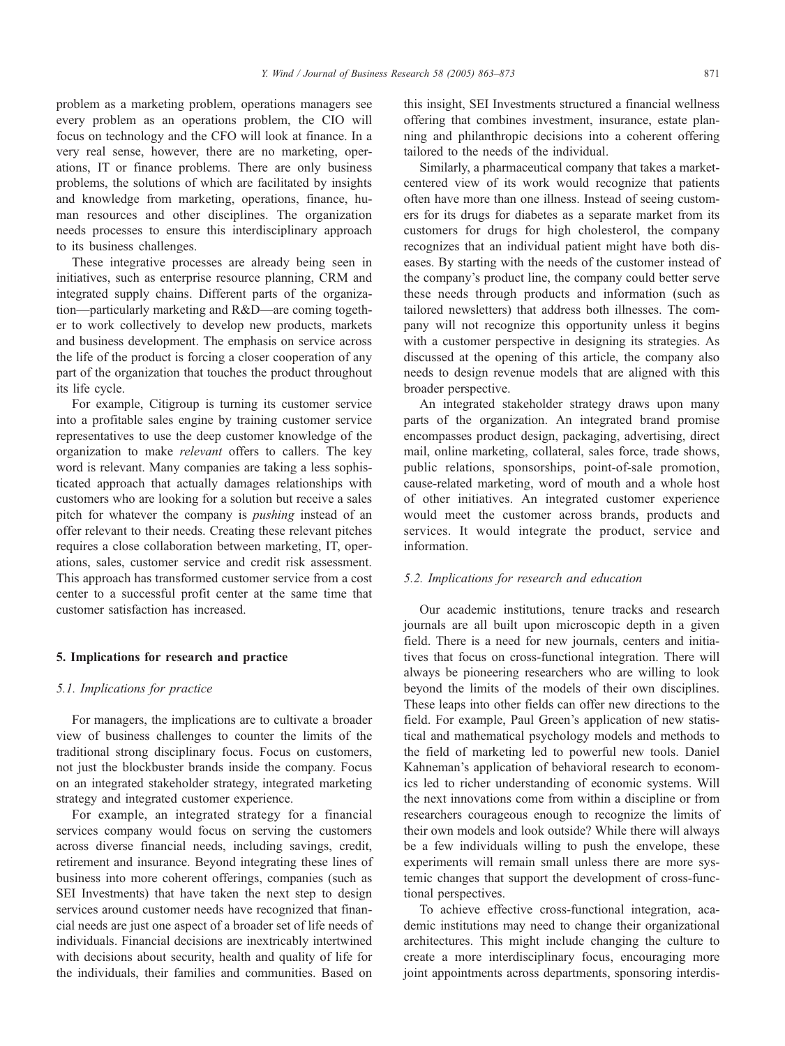problem as a marketing problem, operations managers see every problem as an operations problem, the CIO will focus on technology and the CFO will look at finance. In a very real sense, however, there are no marketing, operations, IT or finance problems. There are only business problems, the solutions of which are facilitated by insights and knowledge from marketing, operations, finance, human resources and other disciplines. The organization needs processes to ensure this interdisciplinary approach to its business challenges.

These integrative processes are already being seen in initiatives, such as enterprise resource planning, CRM and integrated supply chains. Different parts of the organization—particularly marketing and R&D—are coming together to work collectively to develop new products, markets and business development. The emphasis on service across the life of the product is forcing a closer cooperation of any part of the organization that touches the product throughout its life cycle.

For example, Citigroup is turning its customer service into a profitable sales engine by training customer service representatives to use the deep customer knowledge of the organization to make relevant offers to callers. The key word is relevant. Many companies are taking a less sophisticated approach that actually damages relationships with customers who are looking for a solution but receive a sales pitch for whatever the company is pushing instead of an offer relevant to their needs. Creating these relevant pitches requires a close collaboration between marketing, IT, operations, sales, customer service and credit risk assessment. This approach has transformed customer service from a cost center to a successful profit center at the same time that customer satisfaction has increased.

# 5. Implications for research and practice

## 5.1. Implications for practice

For managers, the implications are to cultivate a broader view of business challenges to counter the limits of the traditional strong disciplinary focus. Focus on customers, not just the blockbuster brands inside the company. Focus on an integrated stakeholder strategy, integrated marketing strategy and integrated customer experience.

For example, an integrated strategy for a financial services company would focus on serving the customers across diverse financial needs, including savings, credit, retirement and insurance. Beyond integrating these lines of business into more coherent offerings, companies (such as SEI Investments) that have taken the next step to design services around customer needs have recognized that financial needs are just one aspect of a broader set of life needs of individuals. Financial decisions are inextricably intertwined with decisions about security, health and quality of life for the individuals, their families and communities. Based on

this insight, SEI Investments structured a financial wellness offering that combines investment, insurance, estate planning and philanthropic decisions into a coherent offering tailored to the needs of the individual.

Similarly, a pharmaceutical company that takes a marketcentered view of its work would recognize that patients often have more than one illness. Instead of seeing customers for its drugs for diabetes as a separate market from its customers for drugs for high cholesterol, the company recognizes that an individual patient might have both diseases. By starting with the needs of the customer instead of the company's product line, the company could better serve these needs through products and information (such as tailored newsletters) that address both illnesses. The company will not recognize this opportunity unless it begins with a customer perspective in designing its strategies. As discussed at the opening of this article, the company also needs to design revenue models that are aligned with this broader perspective.

An integrated stakeholder strategy draws upon many parts of the organization. An integrated brand promise encompasses product design, packaging, advertising, direct mail, online marketing, collateral, sales force, trade shows, public relations, sponsorships, point-of-sale promotion, cause-related marketing, word of mouth and a whole host of other initiatives. An integrated customer experience would meet the customer across brands, products and services. It would integrate the product, service and information.

### 5.2. Implications for research and education

Our academic institutions, tenure tracks and research journals are all built upon microscopic depth in a given field. There is a need for new journals, centers and initiatives that focus on cross-functional integration. There will always be pioneering researchers who are willing to look beyond the limits of the models of their own disciplines. These leaps into other fields can offer new directions to the field. For example, Paul Green's application of new statistical and mathematical psychology models and methods to the field of marketing led to powerful new tools. Daniel Kahneman's application of behavioral research to economics led to richer understanding of economic systems. Will the next innovations come from within a discipline or from researchers courageous enough to recognize the limits of their own models and look outside? While there will always be a few individuals willing to push the envelope, these experiments will remain small unless there are more systemic changes that support the development of cross-functional perspectives.

To achieve effective cross-functional integration, academic institutions may need to change their organizational architectures. This might include changing the culture to create a more interdisciplinary focus, encouraging more joint appointments across departments, sponsoring interdis-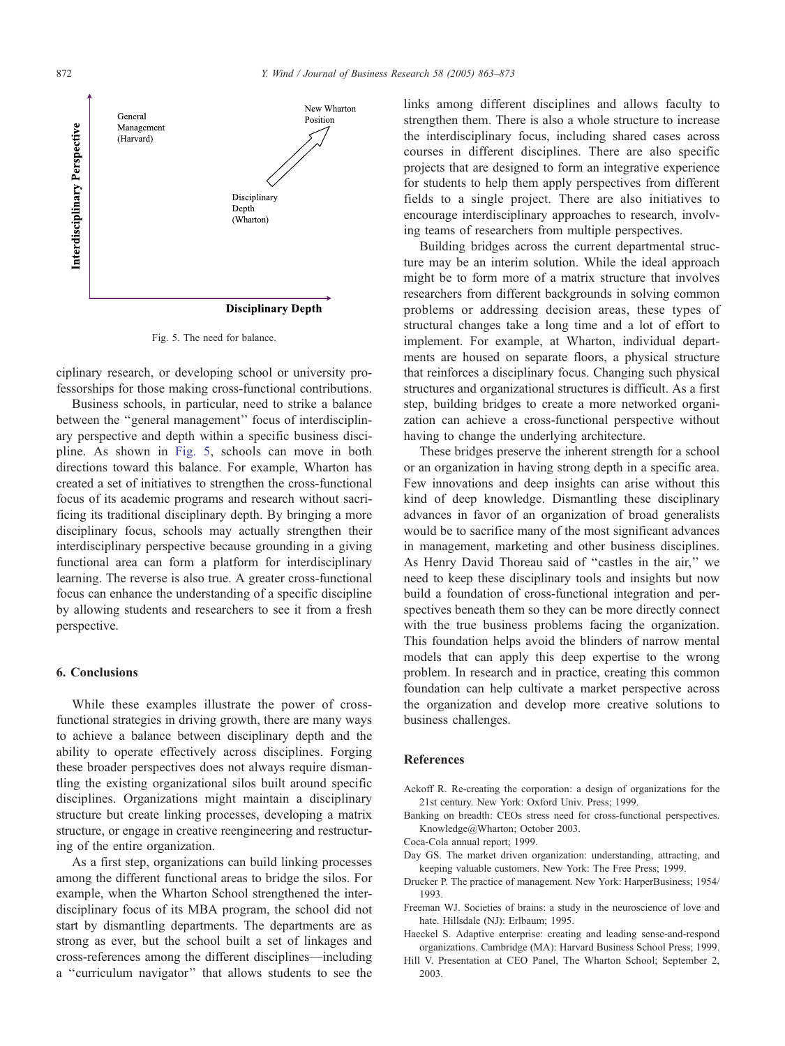<span id="page-9-0"></span>

Fig. 5. The need for balance.

ciplinary research, or developing school or university professorships for those making cross-functional contributions.

Business schools, in particular, need to strike a balance between the ''general management'' focus of interdisciplinary perspective and depth within a specific business discipline. As shown in Fig. 5, schools can move in both directions toward this balance. For example, Wharton has created a set of initiatives to strengthen the cross-functional focus of its academic programs and research without sacrificing its traditional disciplinary depth. By bringing a more disciplinary focus, schools may actually strengthen their interdisciplinary perspective because grounding in a giving functional area can form a platform for interdisciplinary learning. The reverse is also true. A greater cross-functional focus can enhance the understanding of a specific discipline by allowing students and researchers to see it from a fresh perspective.

## 6. Conclusions

While these examples illustrate the power of crossfunctional strategies in driving growth, there are many ways to achieve a balance between disciplinary depth and the ability to operate effectively across disciplines. Forging these broader perspectives does not always require dismantling the existing organizational silos built around specific disciplines. Organizations might maintain a disciplinary structure but create linking processes, developing a matrix structure, or engage in creative reengineering and restructuring of the entire organization.

As a first step, organizations can build linking processes among the different functional areas to bridge the silos. For example, when the Wharton School strengthened the interdisciplinary focus of its MBA program, the school did not start by dismantling departments. The departments are as strong as ever, but the school built a set of linkages and cross-references among the different disciplines—including a ''curriculum navigator'' that allows students to see the

links among different disciplines and allows faculty to strengthen them. There is also a whole structure to increase the interdisciplinary focus, including shared cases across courses in different disciplines. There are also specific projects that are designed to form an integrative experience for students to help them apply perspectives from different fields to a single project. There are also initiatives to encourage interdisciplinary approaches to research, involving teams of researchers from multiple perspectives.

Building bridges across the current departmental structure may be an interim solution. While the ideal approach might be to form more of a matrix structure that involves researchers from different backgrounds in solving common problems or addressing decision areas, these types of structural changes take a long time and a lot of effort to implement. For example, at Wharton, individual departments are housed on separate floors, a physical structure that reinforces a disciplinary focus. Changing such physical structures and organizational structures is difficult. As a first step, building bridges to create a more networked organization can achieve a cross-functional perspective without having to change the underlying architecture.

These bridges preserve the inherent strength for a school or an organization in having strong depth in a specific area. Few innovations and deep insights can arise without this kind of deep knowledge. Dismantling these disciplinary advances in favor of an organization of broad generalists would be to sacrifice many of the most significant advances in management, marketing and other business disciplines. As Henry David Thoreau said of ''castles in the air,'' we need to keep these disciplinary tools and insights but now build a foundation of cross-functional integration and perspectives beneath them so they can be more directly connect with the true business problems facing the organization. This foundation helps avoid the blinders of narrow mental models that can apply this deep expertise to the wrong problem. In research and in practice, creating this common foundation can help cultivate a market perspective across the organization and develop more creative solutions to business challenges.

### References

- Ackoff R. Re-creating the corporation: a design of organizations for the 21st century. New York: Oxford Univ. Press; 1999.
- Banking on breadth: CEOs stress need for cross-functional perspectives. Knowledge@Wharton; October 2003.
- Coca-Cola annual report; 1999.
- Day GS. The market driven organization: understanding, attracting, and keeping valuable customers. New York: The Free Press; 1999.
- Drucker P. The practice of management. New York: HarperBusiness; 1954/ 1993.
- Freeman WJ. Societies of brains: a study in the neuroscience of love and hate. Hillsdale (NJ): Erlbaum; 1995.
- Haeckel S. Adaptive enterprise: creating and leading sense-and-respond organizations. Cambridge (MA): Harvard Business School Press; 1999.
- Hill V. Presentation at CEO Panel, The Wharton School; September 2, 2003.